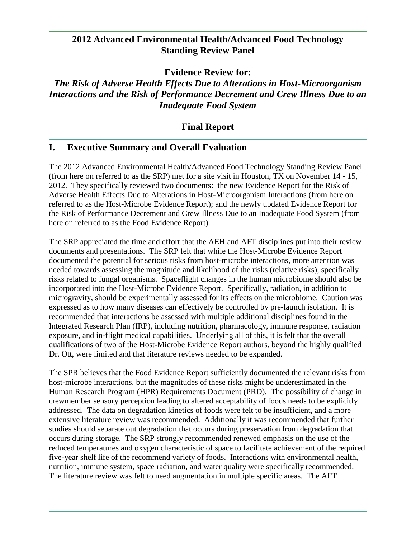## **2012 Advanced Environmental Health/Advanced Food Technology Standing Review Panel**

**Evidence Review for:**

# *The Risk of Adverse Health Effects Due to Alterations in Host-Microorganism Interactions and the Risk of Performance Decrement and Crew Illness Due to an Inadequate Food System*

# **Final Report**

# **I. Executive Summary and Overall Evaluation**

The 2012 Advanced Environmental Health/Advanced Food Technology Standing Review Panel (from here on referred to as the SRP) met for a site visit in Houston, TX on November 14 - 15, 2012. They specifically reviewed two documents: the new Evidence Report for the Risk of Adverse Health Effects Due to Alterations in Host-Microorganism Interactions (from here on referred to as the Host-Microbe Evidence Report); and the newly updated Evidence Report for the Risk of Performance Decrement and Crew Illness Due to an Inadequate Food System (from here on referred to as the Food Evidence Report).

The SRP appreciated the time and effort that the AEH and AFT disciplines put into their review documents and presentations. The SRP felt that while the Host-Microbe Evidence Report documented the potential for serious risks from host-microbe interactions, more attention was needed towards assessing the magnitude and likelihood of the risks (relative risks), specifically risks related to fungal organisms. Spaceflight changes in the human microbiome should also be incorporated into the Host-Microbe Evidence Report. Specifically, radiation, in addition to microgravity, should be experimentally assessed for its effects on the microbiome. Caution was expressed as to how many diseases can effectively be controlled by pre-launch isolation. It is recommended that interactions be assessed with multiple additional disciplines found in the Integrated Research Plan (IRP), including nutrition, pharmacology, immune response, radiation exposure, and in-flight medical capabilities. Underlying all of this, it is felt that the overall qualifications of two of the Host-Microbe Evidence Report authors, beyond the highly qualified Dr. Ott, were limited and that literature reviews needed to be expanded.

The SPR believes that the Food Evidence Report sufficiently documented the relevant risks from host-microbe interactions, but the magnitudes of these risks might be underestimated in the Human Research Program (HPR) Requirements Document (PRD). The possibility of change in crewmember sensory perception leading to altered acceptability of foods needs to be explicitly addressed. The data on degradation kinetics of foods were felt to be insufficient, and a more extensive literature review was recommended. Additionally it was recommended that further studies should separate out degradation that occurs during preservation from degradation that occurs during storage. The SRP strongly recommended renewed emphasis on the use of the reduced temperatures and oxygen characteristic of space to facilitate achievement of the required five-year shelf life of the recommend variety of foods. Interactions with environmental health, nutrition, immune system, space radiation, and water quality were specifically recommended. The literature review was felt to need augmentation in multiple specific areas. The AFT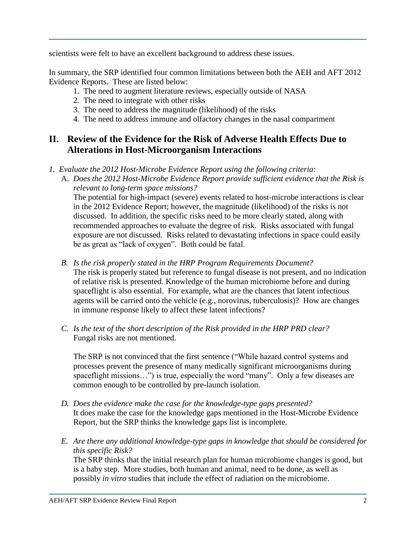scientists were felt to have an excellent background to address these issues.

In summary, the SRP identified four common limitations between both the AEH and AFT 2012 Evidence Reports. These are listed below:

- 1. The need to augment literature reviews, especially outside of NASA
- 2. The need to integrate with other risks
- 3. The need to address the magnitude (likelihood) of the risks
- 4. The need to address immune and olfactory changes in the nasal compartment

# **II. Review of the Evidence for the Risk of Adverse Health Effects Due to Alterations in Host-Microorganism Interactions**

- *1. Evaluate the 2012 Host-Microbe Evidence Report using the following criteria:*
	- A. *Does the 2012 Host-Microbe Evidence Report provide sufficient evidence that the Risk is relevant to long-term space missions?*

The potential for high-impact (severe) events related to host-microbe interactions is clear in the 2012 Evidence Report; however, the magnitude (likelihood) of the risks is not discussed. In addition, the specific risks need to be more clearly stated, along with recommended approaches to evaluate the degree of risk. Risks associated with fungal exposure are not discussed. Risks related to devastating infections in space could easily be as great as "lack of oxygen". Both could be fatal.

- *B. Is the risk properly stated in the HRP Program Requirements Document?* The risk is properly stated but reference to fungal disease is not present, and no indication of relative risk is presented. Knowledge of the human microbiome before and during spaceflight is also essential. For example, what are the chances that latent infectious agents will be carried onto the vehicle (e.g., norovirus, tuberculosis)? How are changes in immune response likely to affect these latent infections?
- *C. Is the text of the short description of the Risk provided in the HRP PRD clear?* Fungal risks are not mentioned.

The SRP is not convinced that the first sentence ("While hazard control systems and processes prevent the presence of many medically significant microorganisms during spaceflight missions...") is true, especially the word "many". Only a few diseases are common enough to be controlled by pre-launch isolation.

- *D. Does the evidence make the case for the knowledge-type gaps presented?* It does make the case for the knowledge gaps mentioned in the Host-Microbe Evidence Report, but the SRP thinks the knowledge gaps list is incomplete*.*
- *E. Are there any additional knowledge-type gaps in knowledge that should be considered for this specific Risk?*

The SRP thinks that the initial research plan for human microbiome changes is good, but is a baby step. More studies, both human and animal, need to be done, as well as possibly *in vitro* studies that include the effect of radiation on the microbiome.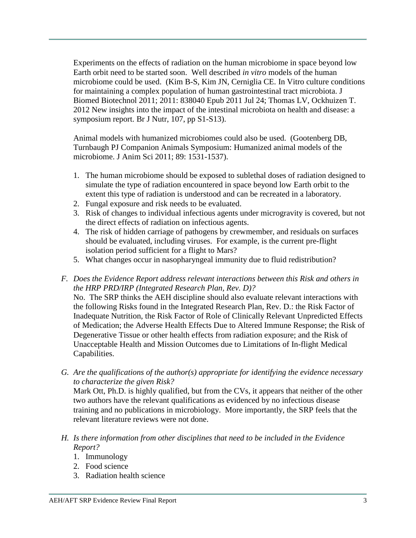Experiments on the effects of radiation on the human microbiome in space beyond low Earth orbit need to be started soon. Well described *in vitro* models of the human microbiome could be used. (Kim B-S, Kim JN, Cerniglia CE. In Vitro culture conditions for maintaining a complex population of human gastrointestinal tract microbiota. J Biomed Biotechnol 2011; 2011: 838040 Epub 2011 Jul 24; Thomas LV, Ockhuizen T. 2012 New insights into the impact of the intestinal microbiota on health and disease: a symposium report. Br J Nutr, 107, pp S1-S13).

Animal models with humanized microbiomes could also be used. (Gootenberg DB, Turnbaugh PJ Companion Animals Symposium: Humanized animal models of the microbiome. J Anim Sci 2011; 89: 1531-1537).

- 1. The human microbiome should be exposed to sublethal doses of radiation designed to simulate the type of radiation encountered in space beyond low Earth orbit to the extent this type of radiation is understood and can be recreated in a laboratory.
- 2. Fungal exposure and risk needs to be evaluated.
- 3. Risk of changes to individual infectious agents under microgravity is covered, but not the direct effects of radiation on infectious agents.
- 4. The risk of hidden carriage of pathogens by crewmember, and residuals on surfaces should be evaluated, including viruses. For example, is the current pre-flight isolation period sufficient for a flight to Mars?
- 5. What changes occur in nasopharyngeal immunity due to fluid redistribution?
- *F. Does the Evidence Report address relevant interactions between this Risk and others in the HRP PRD/IRP (Integrated Research Plan, Rev. D)?* No. The SRP thinks the AEH discipline should also evaluate relevant interactions with the following Risks found in the Integrated Research Plan, Rev. D.: the Risk Factor of Inadequate Nutrition, the Risk Factor of Role of Clinically Relevant Unpredicted Effects of Medication; the Adverse Health Effects Due to Altered Immune Response; the Risk of Degenerative Tissue or other health effects from radiation exposure; and the Risk of Unacceptable Health and Mission Outcomes due to Limitations of In-flight Medical
	- Capabilities.
- *G. Are the qualifications of the author(s) appropriate for identifying the evidence necessary to characterize the given Risk?*

Mark Ott, Ph.D. is highly qualified, but from the CVs, it appears that neither of the other two authors have the relevant qualifications as evidenced by no infectious disease training and no publications in microbiology. More importantly, the SRP feels that the relevant literature reviews were not done.

- *H. Is there information from other disciplines that need to be included in the Evidence Report?*
	- 1. Immunology
	- 2. Food science
	- 3. Radiation health science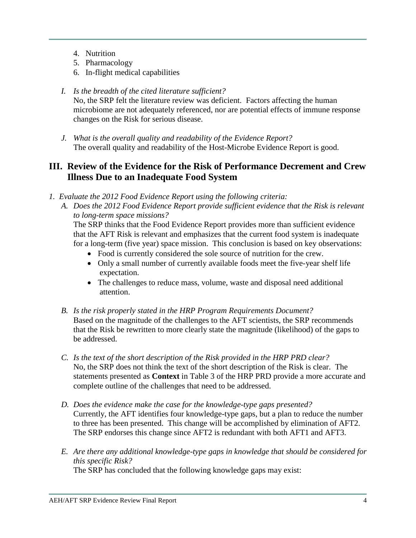- 4. Nutrition
- 5. Pharmacology
- 6. In-flight medical capabilities
- *I. Is the breadth of the cited literature sufficient?* No, the SRP felt the literature review was deficient. Factors affecting the human microbiome are not adequately referenced, nor are potential effects of immune response changes on the Risk for serious disease.
- *J. What is the overall quality and readability of the Evidence Report?* The overall quality and readability of the Host-Microbe Evidence Report is good.

# **III. Review of the Evidence for the Risk of Performance Decrement and Crew Illness Due to an Inadequate Food System**

- *1. Evaluate the 2012 Food Evidence Report using the following criteria:*
	- *A. Does the 2012 Food Evidence Report provide sufficient evidence that the Risk is relevant to long-term space missions?*

The SRP thinks that the Food Evidence Report provides more than sufficient evidence that the AFT Risk is relevant and emphasizes that the current food system is inadequate for a long-term (five year) space mission. This conclusion is based on key observations:

- Food is currently considered the sole source of nutrition for the crew.
- Only a small number of currently available foods meet the five-year shelf life expectation.
- The challenges to reduce mass, volume, waste and disposal need additional attention.
- *B. Is the risk properly stated in the HRP Program Requirements Document?* Based on the magnitude of the challenges to the AFT scientists, the SRP recommends that the Risk be rewritten to more clearly state the magnitude (likelihood) of the gaps to be addressed.
- *C. Is the text of the short description of the Risk provided in the HRP PRD clear?* No, the SRP does not think the text of the short description of the Risk is clear. The statements presented as **Context** in Table 3 of the HRP PRD provide a more accurate and complete outline of the challenges that need to be addressed.
- *D. Does the evidence make the case for the knowledge-type gaps presented?* Currently, the AFT identifies four knowledge-type gaps, but a plan to reduce the number to three has been presented. This change will be accomplished by elimination of AFT2. The SRP endorses this change since AFT2 is redundant with both AFT1 and AFT3.
- *E. Are there any additional knowledge-type gaps in knowledge that should be considered for this specific Risk?* The SRP has concluded that the following knowledge gaps may exist:

AEH/AFT SRP Evidence Review Final Report 4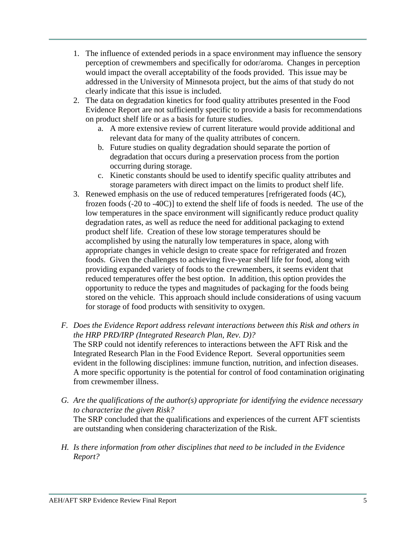- 1. The influence of extended periods in a space environment may influence the sensory perception of crewmembers and specifically for odor/aroma. Changes in perception would impact the overall acceptability of the foods provided. This issue may be addressed in the University of Minnesota project, but the aims of that study do not clearly indicate that this issue is included.
- 2. The data on degradation kinetics for food quality attributes presented in the Food Evidence Report are not sufficiently specific to provide a basis for recommendations on product shelf life or as a basis for future studies.
	- a. A more extensive review of current literature would provide additional and relevant data for many of the quality attributes of concern.
	- b. Future studies on quality degradation should separate the portion of degradation that occurs during a preservation process from the portion occurring during storage.
	- c. Kinetic constants should be used to identify specific quality attributes and storage parameters with direct impact on the limits to product shelf life.
- 3. Renewed emphasis on the use of reduced temperatures [refrigerated foods (4C), frozen foods (-20 to -40C)] to extend the shelf life of foods is needed. The use of the low temperatures in the space environment will significantly reduce product quality degradation rates, as well as reduce the need for additional packaging to extend product shelf life. Creation of these low storage temperatures should be accomplished by using the naturally low temperatures in space, along with appropriate changes in vehicle design to create space for refrigerated and frozen foods. Given the challenges to achieving five-year shelf life for food, along with providing expanded variety of foods to the crewmembers, it seems evident that reduced temperatures offer the best option. In addition, this option provides the opportunity to reduce the types and magnitudes of packaging for the foods being stored on the vehicle. This approach should include considerations of using vacuum for storage of food products with sensitivity to oxygen.
- *F. Does the Evidence Report address relevant interactions between this Risk and others in the HRP PRD/IRP (Integrated Research Plan, Rev. D)?* The SRP could not identify references to interactions between the AFT Risk and the Integrated Research Plan in the Food Evidence Report. Several opportunities seem evident in the following disciplines: immune function, nutrition, and infection diseases. A more specific opportunity is the potential for control of food contamination originating from crewmember illness.
- *G. Are the qualifications of the author(s) appropriate for identifying the evidence necessary to characterize the given Risk?* The SRP concluded that the qualifications and experiences of the current AFT scientists are outstanding when considering characterization of the Risk.
- *H. Is there information from other disciplines that need to be included in the Evidence Report?*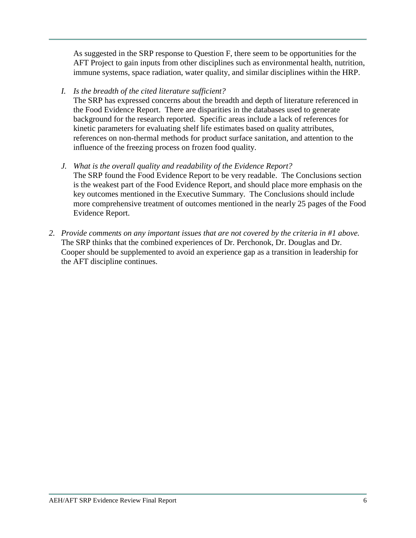As suggested in the SRP response to Question F, there seem to be opportunities for the AFT Project to gain inputs from other disciplines such as environmental health, nutrition, immune systems, space radiation, water quality, and similar disciplines within the HRP.

## *I. Is the breadth of the cited literature sufficient?*

The SRP has expressed concerns about the breadth and depth of literature referenced in the Food Evidence Report. There are disparities in the databases used to generate background for the research reported. Specific areas include a lack of references for kinetic parameters for evaluating shelf life estimates based on quality attributes, references on non-thermal methods for product surface sanitation, and attention to the influence of the freezing process on frozen food quality.

- *J. What is the overall quality and readability of the Evidence Report?* The SRP found the Food Evidence Report to be very readable. The Conclusions section is the weakest part of the Food Evidence Report, and should place more emphasis on the key outcomes mentioned in the Executive Summary. The Conclusions should include more comprehensive treatment of outcomes mentioned in the nearly 25 pages of the Food Evidence Report.
- *2. Provide comments on any important issues that are not covered by the criteria in #1 above.*  The SRP thinks that the combined experiences of Dr. Perchonok, Dr. Douglas and Dr. Cooper should be supplemented to avoid an experience gap as a transition in leadership for the AFT discipline continues.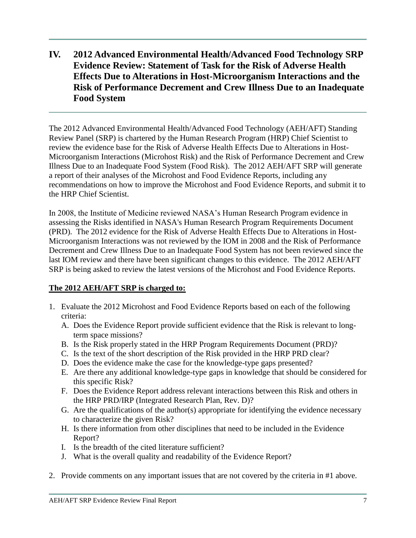# **IV. 2012 Advanced Environmental Health/Advanced Food Technology SRP Evidence Review: Statement of Task for the Risk of Adverse Health Effects Due to Alterations in Host-Microorganism Interactions and the Risk of Performance Decrement and Crew Illness Due to an Inadequate Food System**

The 2012 Advanced Environmental Health/Advanced Food Technology (AEH/AFT) Standing Review Panel (SRP) is chartered by the Human Research Program (HRP) Chief Scientist to review the evidence base for the Risk of Adverse Health Effects Due to Alterations in Host-Microorganism Interactions (Microhost Risk) and the Risk of Performance Decrement and Crew Illness Due to an Inadequate Food System (Food Risk). The 2012 AEH/AFT SRP will generate a report of their analyses of the Microhost and Food Evidence Reports, including any recommendations on how to improve the Microhost and Food Evidence Reports, and submit it to the HRP Chief Scientist.

In 2008, the Institute of Medicine reviewed NASA's Human Research Program evidence in assessing the Risks identified in NASA's Human Research Program Requirements Document (PRD). The 2012 evidence for the Risk of Adverse Health Effects Due to Alterations in Host-Microorganism Interactions was not reviewed by the IOM in 2008 and the Risk of Performance Decrement and Crew Illness Due to an Inadequate Food System has not been reviewed since the last IOM review and there have been significant changes to this evidence. The 2012 AEH/AFT SRP is being asked to review the latest versions of the Microhost and Food Evidence Reports.

## **The 2012 AEH/AFT SRP is charged to:**

- 1. Evaluate the 2012 Microhost and Food Evidence Reports based on each of the following criteria:
	- A. Does the Evidence Report provide sufficient evidence that the Risk is relevant to longterm space missions?
	- B. Is the Risk properly stated in the HRP Program Requirements Document (PRD)?
	- C. Is the text of the short description of the Risk provided in the HRP PRD clear?
	- D. Does the evidence make the case for the knowledge-type gaps presented?
	- E. Are there any additional knowledge-type gaps in knowledge that should be considered for this specific Risk?
	- F. Does the Evidence Report address relevant interactions between this Risk and others in the HRP PRD/IRP (Integrated Research Plan, Rev. D)?
	- G. Are the qualifications of the author(s) appropriate for identifying the evidence necessary to characterize the given Risk?
	- H. Is there information from other disciplines that need to be included in the Evidence Report?
	- I. Is the breadth of the cited literature sufficient?
	- J. What is the overall quality and readability of the Evidence Report?
- 2. Provide comments on any important issues that are not covered by the criteria in #1 above.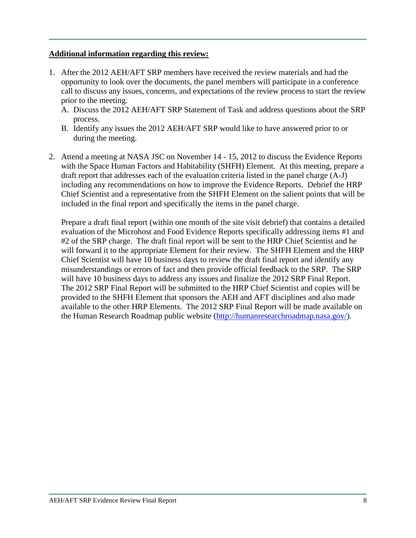### **Additional information regarding this review:**

- 1. After the 2012 AEH/AFT SRP members have received the review materials and had the opportunity to look over the documents, the panel members will participate in a conference call to discuss any issues, concerns, and expectations of the review process to start the review prior to the meeting.
	- A. Discuss the 2012 AEH/AFT SRP Statement of Task and address questions about the SRP process.
	- B. Identify any issues the 2012 AEH/AFT SRP would like to have answered prior to or during the meeting.
- 2. Attend a meeting at NASA JSC on November 14 15, 2012 to discuss the Evidence Reports with the Space Human Factors and Habitability (SHFH) Element. At this meeting, prepare a draft report that addresses each of the evaluation criteria listed in the panel charge (A-J) including any recommendations on how to improve the Evidence Reports. Debrief the HRP Chief Scientist and a representative from the SHFH Element on the salient points that will be included in the final report and specifically the items in the panel charge.

Prepare a draft final report (within one month of the site visit debrief) that contains a detailed evaluation of the Microhost and Food Evidence Reports specifically addressing items #1 and #2 of the SRP charge. The draft final report will be sent to the HRP Chief Scientist and he will forward it to the appropriate Element for their review. The SHFH Element and the HRP Chief Scientist will have 10 business days to review the draft final report and identify any misunderstandings or errors of fact and then provide official feedback to the SRP. The SRP will have 10 business days to address any issues and finalize the 2012 SRP Final Report. The 2012 SRP Final Report will be submitted to the HRP Chief Scientist and copies will be provided to the SHFH Element that sponsors the AEH and AFT disciplines and also made available to the other HRP Elements. The 2012 SRP Final Report will be made available on the Human Research Roadmap public website [\(http://humanresearchroadmap.nasa.gov/\)](http://humanresearchroadmap.nasa.gov/).